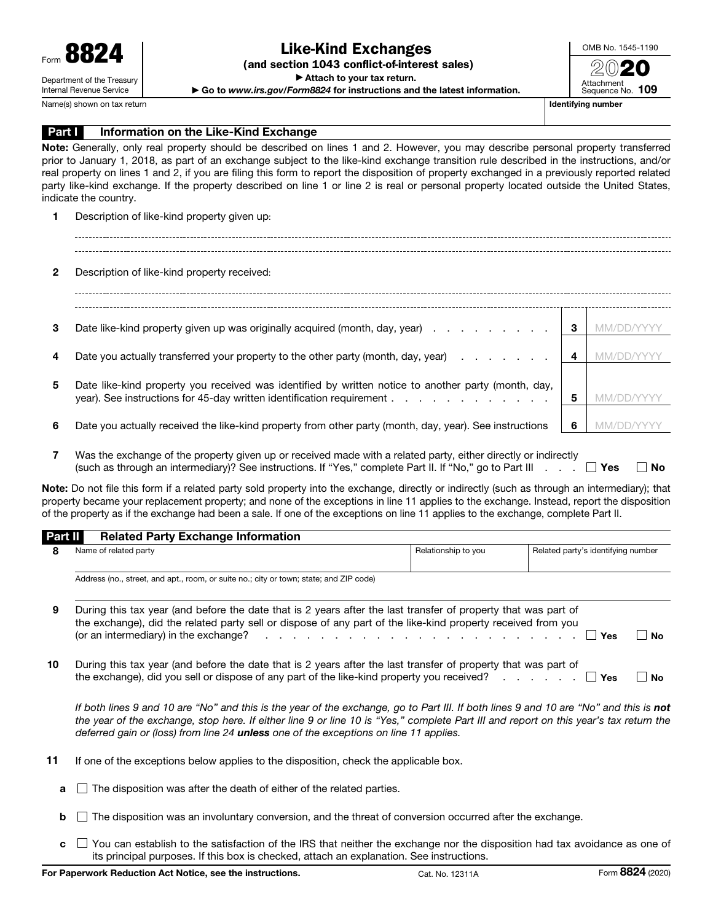(and section 1043 conflict-of-interest sales)

▶ Attach to your tax return.

▶ Go to *www.irs.gov/Form8824* for instructions and the latest information.

OMB No. 1545-1190 2020 Attachment Sequence No. 109

Name(s) shown on tax return and the state of the state of the state of the state of the state of the state of the state of the state of the state of the state of the state of the state of the state of the state of the stat

## **Part I** Information on the Like-Kind Exchange

Note: Generally, only real property should be described on lines 1 and 2. However, you may describe personal property transferred prior to January 1, 2018, as part of an exchange subject to the like-kind exchange transition rule described in the instructions, and/or real property on lines 1 and 2, if you are filing this form to report the disposition of property exchanged in a previously reported related party like-kind exchange. If the property described on line 1 or line 2 is real or personal property located outside the United States, indicate the country.

1 Description of like-kind property given up:

2 Description of like-kind property received: 3 Date like-kind property given up was originally acquired (month, day, year)  $\ldots$  . . . . . . . 3 MM/DD/YYYY 4 Date you actually transferred your property to the other party (month, day, year)  $\cdots$ .  $\blacksquare$ 5 Date like-kind property you received was identified by written notice to another party (month, day, year). See instructions for 45-day written identification requirement . . . . . . . . . . . . . . . . 5 MM/DD/YYY 6 Date you actually received the like-kind property from other party (month, day, year). See instructions 6 MM/DD/YYYY

7 Was the exchange of the property given up or received made with a related party, either directly or indirectly (such as through an intermediary)? See instructions. If "Yes," complete Part II. If "No," go to Part III  $\ldots$   $\Box$  Yes  $\Box$  No

Note: Do not file this form if a related party sold property into the exchange, directly or indirectly (such as through an intermediary); that property became your replacement property; and none of the exceptions in line 11 applies to the exchange. Instead, report the disposition of the property as if the exchange had been a sale. If one of the exceptions on line 11 applies to the exchange, complete Part II.

## Part II Related Party Exchange Information

| 8  | Name of related party                                                                                                                                                                                                                                                                                                                                                          | Relationship to you | Related party's identifying number |    |  |  |  |
|----|--------------------------------------------------------------------------------------------------------------------------------------------------------------------------------------------------------------------------------------------------------------------------------------------------------------------------------------------------------------------------------|---------------------|------------------------------------|----|--|--|--|
|    | Address (no., street, and apt., room, or suite no.; city or town; state; and ZIP code)                                                                                                                                                                                                                                                                                         |                     |                                    |    |  |  |  |
| 9  | During this tax year (and before the date that is 2 years after the last transfer of property that was part of<br>the exchange), did the related party sell or dispose of any part of the like-kind property received from you<br>(or an intermediary) in the exchange? $\cdots$ $\cdots$ $\cdots$ $\cdots$ $\cdots$ $\cdots$ $\cdots$ $\cdots$ $\cdots$<br>∣ Yes<br><b>No</b> |                     |                                    |    |  |  |  |
| 10 | During this tax year (and before the date that is 2 years after the last transfer of property that was part of<br>the exchange), did you sell or dispose of any part of the like-kind property you received? $\ldots$ $\ldots$ $\Box$ Yes                                                                                                                                      |                     |                                    | Nο |  |  |  |

If both lines 9 and 10 are "No" and this is the year of the exchange, go to Part III. If both lines 9 and 10 are "No" and this is **not** *the year of the exchange, stop here. If either line 9 or line 10 is "Yes," complete Part III and report on this year's tax return the deferred gain or (loss) from line 24 unless one of the exceptions on line 11 applies.*

- 11 If one of the exceptions below applies to the disposition, check the applicable box.
	- $\blacksquare$  The disposition was after the death of either of the related parties.
	- $\mathbf{b}$  The disposition was an involuntary conversion, and the threat of conversion occurred after the exchange.
	- $\mathbf{c}$   $\Box$  You can establish to the satisfaction of the IRS that neither the exchange nor the disposition had tax avoidance as one of its principal purposes. If this box is checked, attach an explanation. See instructions.